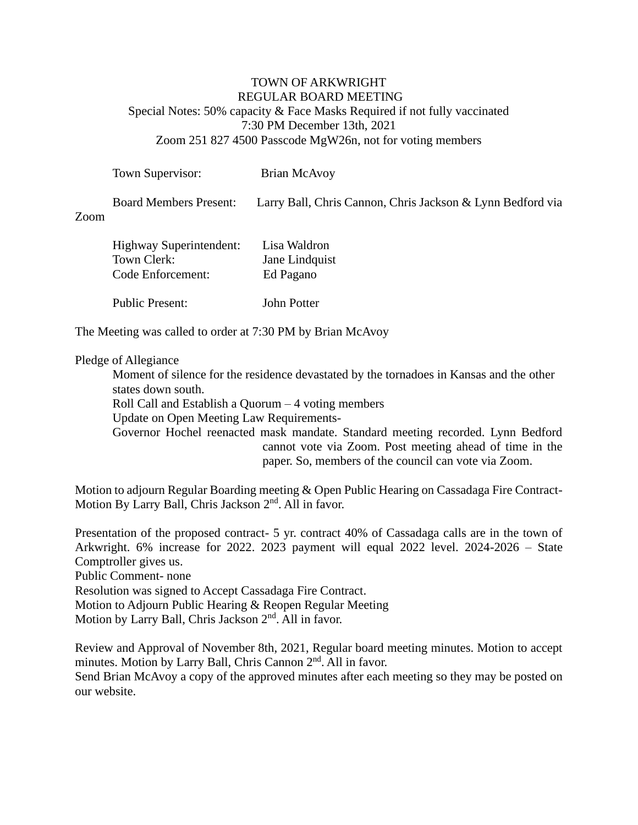## TOWN OF ARKWRIGHT REGULAR BOARD MEETING Special Notes: 50% capacity & Face Masks Required if not fully vaccinated 7:30 PM December 13th, 2021 Zoom 251 827 4500 Passcode MgW26n, not for voting members

| Town Supervisor:              | Brian McAvoy                                               |
|-------------------------------|------------------------------------------------------------|
| <b>Board Members Present:</b> | Larry Ball, Chris Cannon, Chris Jackson & Lynn Bedford via |

## Zoom

| Highway Superintendent: | Lisa Waldron   |
|-------------------------|----------------|
| Town Clerk:             | Jane Lindquist |
| Code Enforcement:       | Ed Pagano      |
| <b>Public Present:</b>  | John Potter    |

The Meeting was called to order at 7:30 PM by Brian McAvoy

## Pledge of Allegiance

Moment of silence for the residence devastated by the tornadoes in Kansas and the other states down south.

Roll Call and Establish a Quorum – 4 voting members

Update on Open Meeting Law Requirements-

Governor Hochel reenacted mask mandate. Standard meeting recorded. Lynn Bedford cannot vote via Zoom. Post meeting ahead of time in the paper. So, members of the council can vote via Zoom.

Motion to adjourn Regular Boarding meeting & Open Public Hearing on Cassadaga Fire Contract-Motion By Larry Ball, Chris Jackson  $2<sup>nd</sup>$ . All in favor.

Presentation of the proposed contract- 5 yr. contract 40% of Cassadaga calls are in the town of Arkwright. 6% increase for 2022. 2023 payment will equal 2022 level. 2024-2026 – State Comptroller gives us.

Public Comment- none

Resolution was signed to Accept Cassadaga Fire Contract.

Motion to Adjourn Public Hearing & Reopen Regular Meeting

Motion by Larry Ball, Chris Jackson 2<sup>nd</sup>. All in favor.

Review and Approval of November 8th, 2021, Regular board meeting minutes. Motion to accept minutes. Motion by Larry Ball, Chris Cannon 2<sup>nd</sup>. All in favor.

Send Brian McAvoy a copy of the approved minutes after each meeting so they may be posted on our website.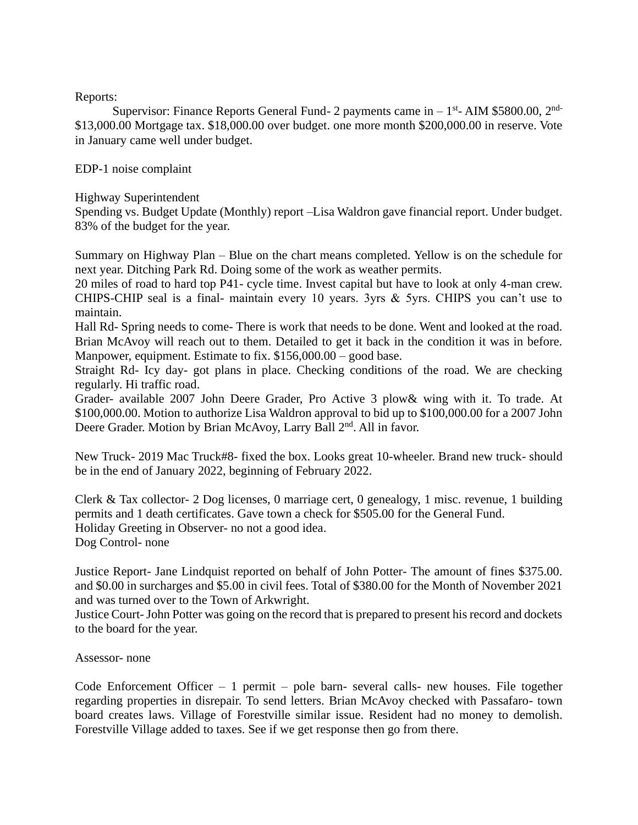Reports:

Supervisor: Finance Reports General Fund- 2 payments came in  $-1$ <sup>st</sup>-AIM \$5800.00, 2<sup>nd-</sup> \$13,000.00 Mortgage tax. \$18,000.00 over budget. one more month \$200,000.00 in reserve. Vote in January came well under budget.

EDP-1 noise complaint

Highway Superintendent

Spending vs. Budget Update (Monthly) report –Lisa Waldron gave financial report. Under budget. 83% of the budget for the year.

Summary on Highway Plan – Blue on the chart means completed. Yellow is on the schedule for next year. Ditching Park Rd. Doing some of the work as weather permits.

20 miles of road to hard top P41- cycle time. Invest capital but have to look at only 4-man crew. CHIPS-CHIP seal is a final- maintain every 10 years. 3yrs & 5yrs. CHIPS you can't use to maintain.

Hall Rd- Spring needs to come- There is work that needs to be done. Went and looked at the road. Brian McAvoy will reach out to them. Detailed to get it back in the condition it was in before. Manpower, equipment. Estimate to fix. \$156,000.00 – good base.

Straight Rd- Icy day- got plans in place. Checking conditions of the road. We are checking regularly. Hi traffic road.

Grader- available 2007 John Deere Grader, Pro Active 3 plow& wing with it. To trade. At \$100,000.00. Motion to authorize Lisa Waldron approval to bid up to \$100,000.00 for a 2007 John Deere Grader. Motion by Brian McAvoy, Larry Ball 2<sup>nd</sup>. All in favor.

New Truck- 2019 Mac Truck#8- fixed the box. Looks great 10-wheeler. Brand new truck- should be in the end of January 2022, beginning of February 2022.

Clerk & Tax collector- 2 Dog licenses, 0 marriage cert, 0 genealogy, 1 misc. revenue, 1 building permits and 1 death certificates. Gave town a check for \$505.00 for the General Fund. Holiday Greeting in Observer- no not a good idea. Dog Control- none

Justice Report- Jane Lindquist reported on behalf of John Potter- The amount of fines \$375.00. and \$0.00 in surcharges and \$5.00 in civil fees. Total of \$380.00 for the Month of November 2021 and was turned over to the Town of Arkwright.

Justice Court-John Potter was going on the record that is prepared to present his record and dockets to the board for the year.

## Assessor- none

Code Enforcement Officer – 1 permit – pole barn- several calls- new houses. File together regarding properties in disrepair. To send letters. Brian McAvoy checked with Passafaro- town board creates laws. Village of Forestville similar issue. Resident had no money to demolish. Forestville Village added to taxes. See if we get response then go from there.